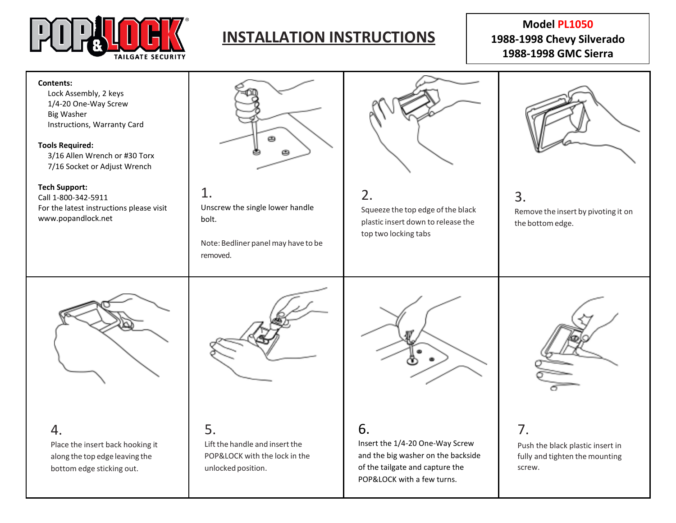

# **INSTALLATION INSTRUCTIONS**

# **Model PL1050 1988-1998 Chevy Silverado 1988-1998 GMC Sierra**